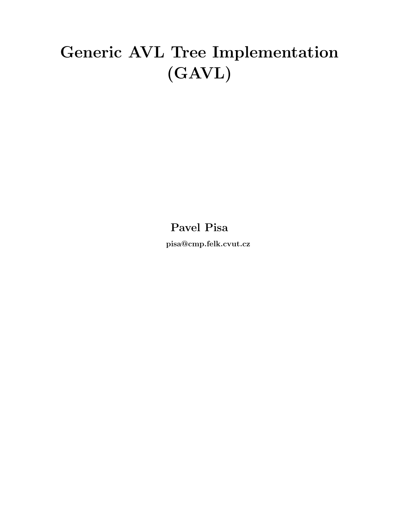# Generic AVL Tree Implementation (GAVL)

Pavel Pisa

pisa@cmp.felk.cvut.cz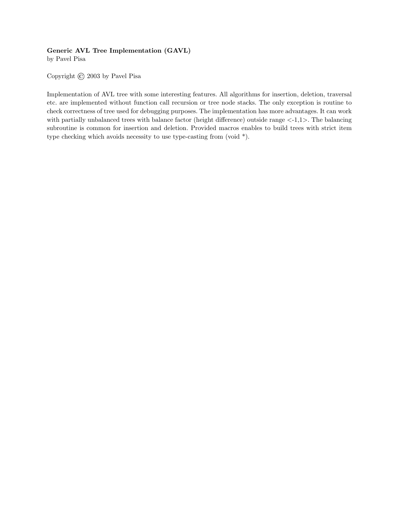#### Generic AVL Tree Implementation (GAVL)

by Pavel Pisa

Copyright © 2003 by Pavel Pisa

Implementation of AVL tree with some interesting features. All algorithms for insertion, deletion, traversal etc. are implemented without function call recursion or tree node stacks. The only exception is routine to check correctness of tree used for debugging purposes. The implementation has more advantages. It can work with partially unbalanced trees with balance factor (height difference) outside range  $\langle -1,1 \rangle$ . The balancing subroutine is common for insertion and deletion. Provided macros enables to build trees with strict item type checking which avoids necessity to use type-casting from (void \*).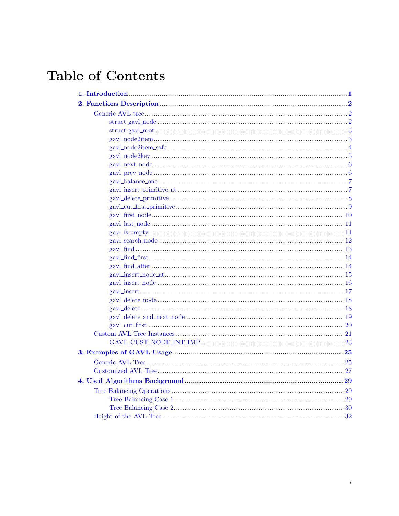# **Table of Contents**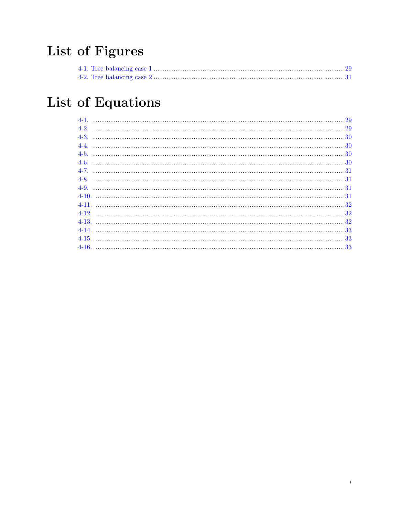# List of Figures

# List of Equations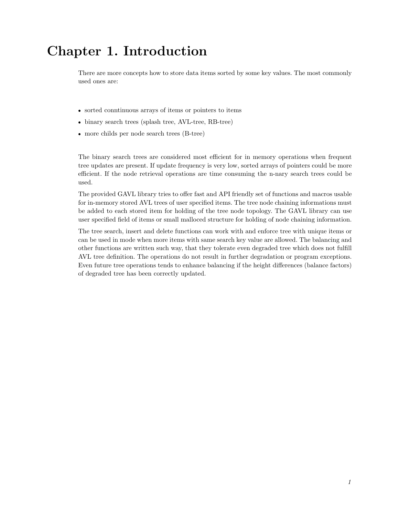# <span id="page-4-0"></span>Chapter 1. Introduction

There are more concepts how to store data items sorted by some key values. The most commonly used ones are:

- sorted conntinuous arrays of items or pointers to items
- binary search trees (splash tree, AVL-tree, RB-tree)
- more childs per node search trees (B-tree)

The binary search trees are considered most efficient for in memory operations when frequent tree updates are present. If update frequency is very low, sorted arrays of pointers could be more efficient. If the node retrieval operations are time consuming the n-nary search trees could be used.

The provided GAVL library tries to offer fast and API friendly set of functions and macros usable for in-memory stored AVL trees of user specified items. The tree node chaining informations must be added to each stored item for holding of the tree node topology. The GAVL library can use user specified field of items or small malloced structure for holding of node chaining information.

The tree search, insert and delete functions can work with and enforce tree with unique items or can be used in mode when more items with same search key value are allowed. The balancing and other functions are written such way, that they tolerate even degraded tree which does not fulfill AVL tree definition. The operations do not result in further degradation or program exceptions. Even future tree operations tends to enhance balancing if the height differences (balance factors) of degraded tree has been correctly updated.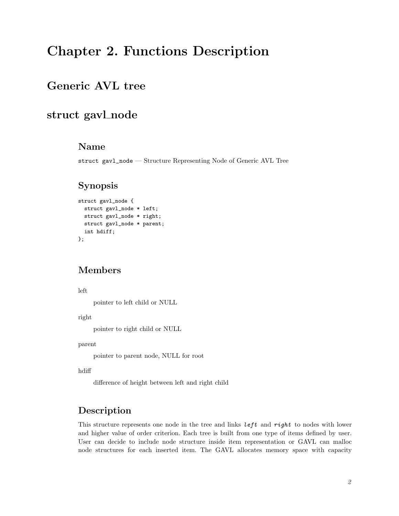# <span id="page-5-1"></span><span id="page-5-0"></span>Chapter 2. Functions Description

## <span id="page-5-2"></span>Generic AVL tree

## struct gavl\_node

### Name

struct gavl\_node — Structure Representing Node of Generic AVL Tree

## Synopsis

```
struct gavl_node {
  struct gavl_node * left;
  struct gavl_node * right;
  struct gavl_node * parent;
  int hdiff;
};
```
### Members

left

pointer to left child or NULL

right

pointer to right child or NULL

parent

pointer to parent node, NULL for root

hdiff

difference of height between left and right child

### Description

This structure represents one node in the tree and links left and right to nodes with lower and higher value of order criterion. Each tree is built from one type of items defined by user. User can decide to include node structure inside item representation or GAVL can malloc node structures for each inserted item. The GAVL allocates memory space with capacity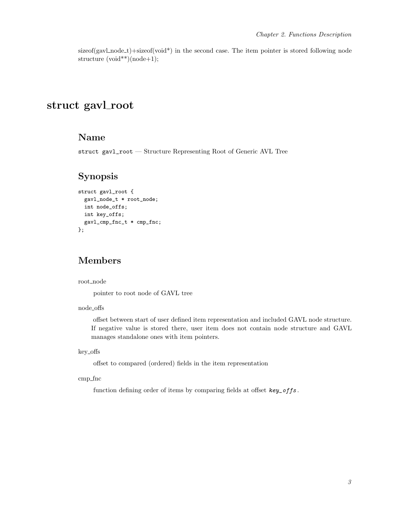$sizeof(gavLnode_t)+sizeof(void*)$  in the second case. The item pointer is stored following node structure (void\*\*)(node+1);

## <span id="page-6-0"></span>struct gavl\_root

### Name

struct gavl\_root — Structure Representing Root of Generic AVL Tree

#### Synopsis

```
struct gavl_root {
  gavl_node_t * root_node;
  int node_offs;
  int key_offs;
  gavl_cmp_fnc_t * cmp_fnc;
};
```
#### Members

root\_node

pointer to root node of GAVL tree

node offs

offset between start of user defined item representation and included GAVL node structure. If negative value is stored there, user item does not contain node structure and GAVL manages standalone ones with item pointers.

key offs

offset to compared (ordered) fields in the item representation

<span id="page-6-1"></span>cmp fnc

function defining order of items by comparing fields at offset  $key\_offs$ .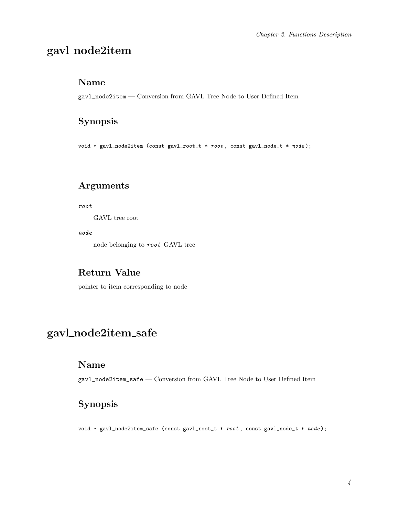# gavl node2item

#### Name

gavl\_node2item — Conversion from GAVL Tree Node to User Defined Item

## Synopsis

void \* gavl\_node2item (const gavl\_root\_t \* root , const gavl\_node\_t \* node );

## Arguments

root

GAVL tree root

node

node belonging to root GAVL tree

### Return Value

pointer to item corresponding to node

# <span id="page-7-0"></span>gavl node2item safe

#### Name

gavl\_node2item\_safe — Conversion from GAVL Tree Node to User Defined Item

## Synopsis

void \* gavl\_node2item\_safe (const gavl\_root\_t \* root , const gavl\_node\_t \* node );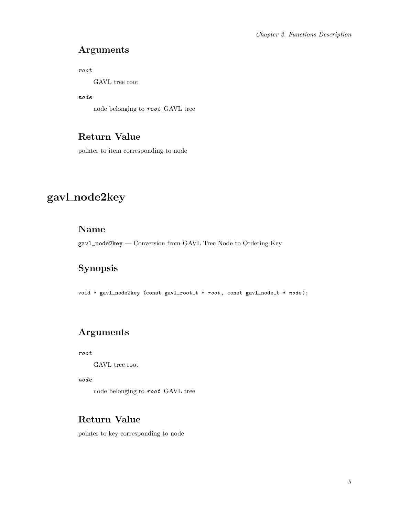## <span id="page-8-1"></span>Arguments

root

GAVL tree root

node

node belonging to root GAVL tree

## Return Value

pointer to item corresponding to node

# <span id="page-8-0"></span>gavl node2key

## Name

gavl\_node2key — Conversion from GAVL Tree Node to Ordering Key

## Synopsis

void \* gavl\_node2key (const gavl\_root\_t \* root , const gavl\_node\_t \* node );

## Arguments

root

GAVL tree root

node

node belonging to root GAVL tree

## Return Value

pointer to key corresponding to node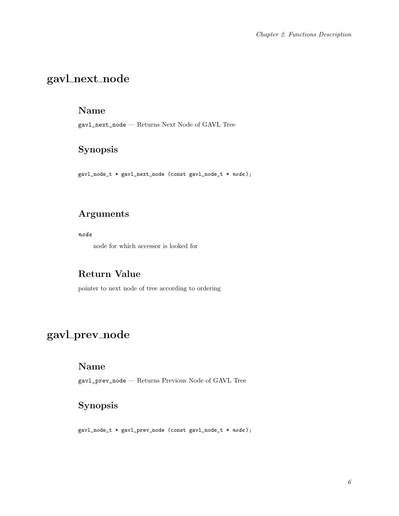# gavl next node

#### Name

gavl\_next\_node — Returns Next Node of GAVL Tree

## Synopsis

gavl\_node\_t \* gavl\_next\_node (const gavl\_node\_t \* node );

## Arguments

node

node for which accessor is looked for

### Return Value

pointer to next node of tree according to ordering

# <span id="page-9-0"></span>gavl\_prev\_node

### Name

gavl\_prev\_node — Returns Previous Node of GAVL Tree

## Synopsis

gavl\_node\_t \* gavl\_prev\_node (const gavl\_node\_t \* node );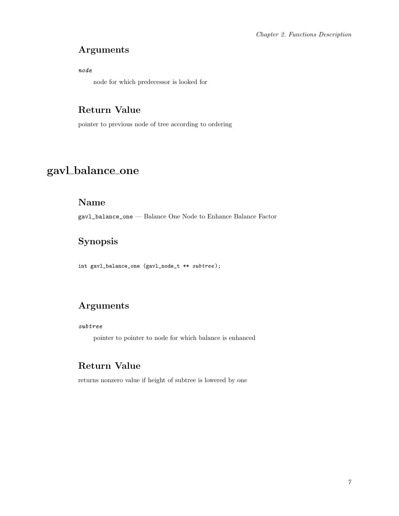## Arguments

node

node for which predecessor is looked for

## Return Value

pointer to previous node of tree according to ordering

# <span id="page-10-0"></span>gavl\_balance\_one

### Name

gavl\_balance\_one — Balance One Node to Enhance Balance Factor

## Synopsis

int gavl\_balance\_one (gavl\_node\_t \*\* subtree );

## Arguments

#### subtree

pointer to pointer to node for which balance is enhanced

## Return Value

<span id="page-10-1"></span>returns nonzero value if height of subtree is lowered by one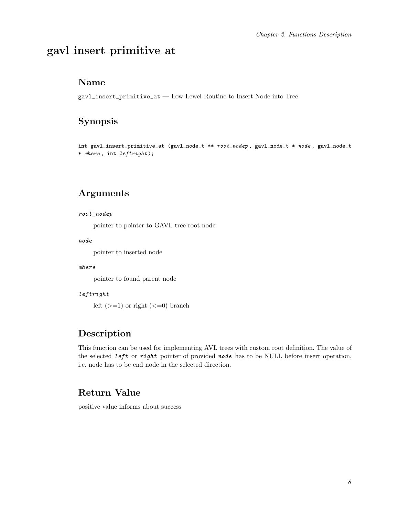## gavl insert primitive at

#### Name

gavl\_insert\_primitive\_at — Low Lewel Routine to Insert Node into Tree

### Synopsis

int gavl\_insert\_primitive\_at (gavl\_node\_t \*\*  $root\_node$ , gavl\_node\_t \* node, gavl\_node\_t \* where , int leftright );

#### Arguments

#### root\_nodep

pointer to pointer to GAVL tree root node

#### node

pointer to inserted node

#### where

pointer to found parent node

#### leftright

left  $(>=1)$  or right  $(<=0)$  branch

### Description

This function can be used for implementing AVL trees with custom root definition. The value of the selected left or right pointer of provided node has to be NULL before insert operation, i.e. node has to be end node in the selected direction.

### Return Value

<span id="page-11-0"></span>positive value informs about success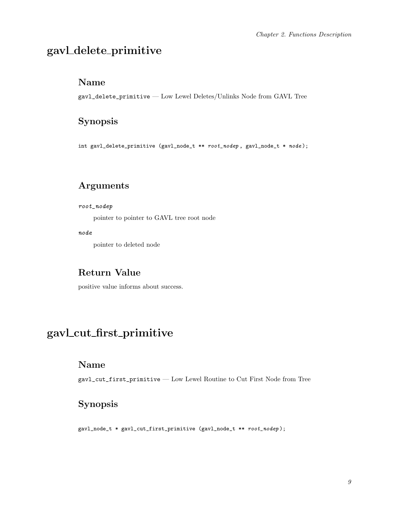# gavl delete primitive

#### Name

gavl\_delete\_primitive — Low Lewel Deletes/Unlinks Node from GAVL Tree

### Synopsis

int gavl\_delete\_primitive (gavl\_node\_t \*\* root\_nodep , gavl\_node\_t \* node );

## Arguments

#### root\_nodep

pointer to pointer to GAVL tree root node

node

pointer to deleted node

### Return Value

positive value informs about success.

## <span id="page-12-0"></span>gavl cut first primitive

#### Name

gavl\_cut\_first\_primitive — Low Lewel Routine to Cut First Node from Tree

## Synopsis

gavl\_node\_t \* gavl\_cut\_first\_primitive (gavl\_node\_t \*\* root\_nodep );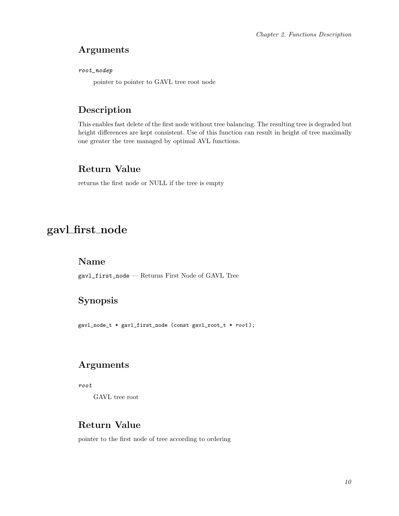### <span id="page-13-1"></span>Arguments

root\_nodep

pointer to pointer to GAVL tree root node

## Description

This enables fast delete of the first node without tree balancing. The resulting tree is degraded but height differences are kept consistent. Use of this function can result in height of tree maximally one greater the tree managed by optimal AVL functions.

## Return Value

returns the first node or NULL if the tree is empty

## <span id="page-13-0"></span>gavl first node

#### Name

gavl\_first\_node — Returns First Node of GAVL Tree

## Synopsis

gavl\_node\_t \* gavl\_first\_node (const gavl\_root\_t \* root );

## Arguments

root

GAVL tree root

### Return Value

pointer to the first node of tree according to ordering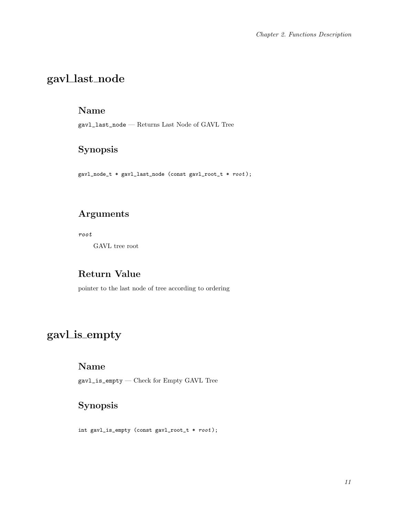# gavl last node

#### Name

 $\verb|gavl_last-node| -$  Returns Last Node of GAVL Tree

Synopsis

gavl\_node\_t \* gavl\_last\_node (const gavl\_root\_t \* root );

## Arguments

root

GAVL tree root

### Return Value

pointer to the last node of tree according to ordering

# <span id="page-14-0"></span>gavl is empty

### Name

gavl\_is\_empty — Check for Empty GAVL Tree

## Synopsis

int gavl\_is\_empty (const gavl\_root\_t \* root );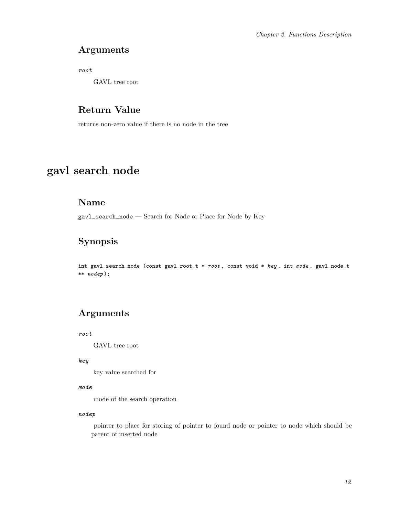### Arguments

root

GAVL tree root

## Return Value

returns non-zero value if there is no node in the tree

# <span id="page-15-0"></span>gavl search node

#### Name

gavl\_search\_node — Search for Node or Place for Node by Key

## Synopsis

int gavl\_search\_node (const gavl\_root\_t \*  $root$ , const void \* key, int mode, gavl\_node\_t \*\* nodep );

## Arguments

root

GAVL tree root

#### key

key value searched for

#### mode

mode of the search operation

#### nodep

pointer to place for storing of pointer to found node or pointer to node which should be parent of inserted node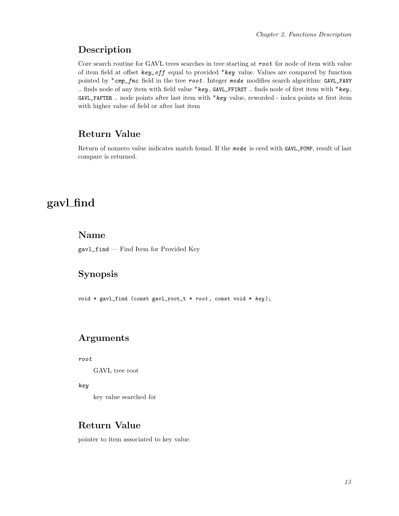### <span id="page-16-1"></span>Description

Core search routine for GAVL trees searches in tree starting at root for node of item with value of item field at offset key\_off equal to provided \*key value. Values are compared by function pointed by  $*cmp\_frac$  field in the tree root. Integer mode modifies search algorithm: GAVL\_FANY .. finds node of any item with field value \*key,  $GAVL$ \_FFIRST .. finds node of first item with \*key, GAVL\_FAFTER .. node points after last item with \*key value, reworded - index points at first item with higher value of field or after last item

## Return Value

Return of nonzero value indicates match found. If the mode is ored with GAVL\_FCMP, result of last compare is returned.

## <span id="page-16-0"></span>gavl find

#### Name

gavl\_find — Find Item for Provided Key

## Synopsis

void \* gavl\_find (const gavl\_root\_t \*  $root$ , const void \*  $key$ );

### Arguments

root

GAVL tree root

key

key value searched for

#### Return Value

pointer to item associated to key value.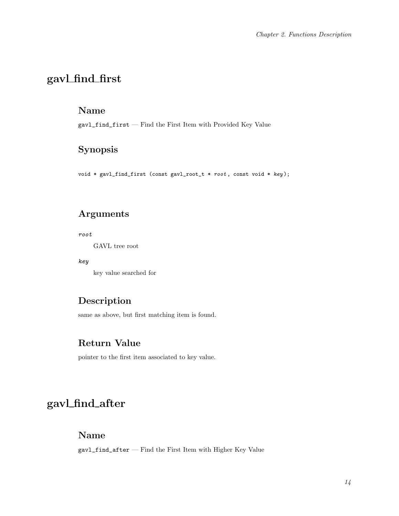# gavl find first

#### Name

gavl\_find\_first — Find the First Item with Provided Key Value

## Synopsis

void \* gavl\_find\_first (const gavl\_root\_t \*  $root$ , const void \*  $key$ );

## Arguments

root

GAVL tree root

key

key value searched for

## Description

same as above, but first matching item is found.

### Return Value

pointer to the first item associated to key value.

# <span id="page-17-0"></span>gavl find after

### Name

gavl\_find\_after — Find the First Item with Higher Key Value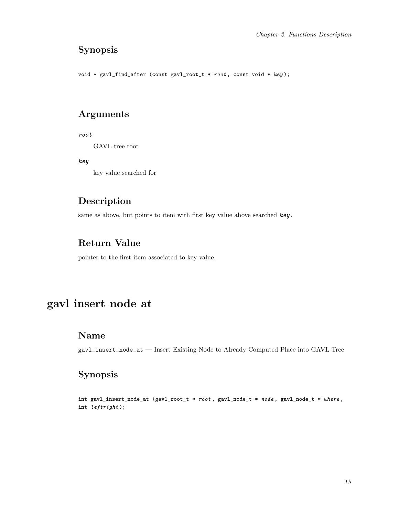## Synopsis

void \* gavl\_find\_after (const gavl\_root\_t \* root , const void \* key );

#### Arguments

root

GAVL tree root

key

key value searched for

### Description

same as above, but points to item with first key value above searched key.

## Return Value

pointer to the first item associated to key value.

# <span id="page-18-0"></span>gavl insert node at

### Name

gavl\_insert\_node\_at — Insert Existing Node to Already Computed Place into GAVL Tree

## Synopsis

int gavl\_insert\_node\_at (gavl\_root\_t \* root, gavl\_node\_t \* node, gavl\_node\_t \* where, int leftright );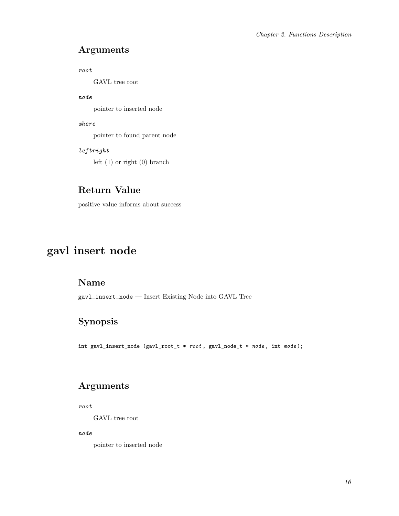### Arguments

root

GAVL tree root

#### node

pointer to inserted node

#### where

pointer to found parent node

#### leftright

left (1) or right (0) branch

### Return Value

positive value informs about success

# <span id="page-19-0"></span>gavl insert node

## Name

gavl\_insert\_node — Insert Existing Node into GAVL Tree

## Synopsis

int gavl\_insert\_node (gavl\_root\_t \* root , gavl\_node\_t \* node , int mode );

## Arguments

root

GAVL tree root

node

pointer to inserted node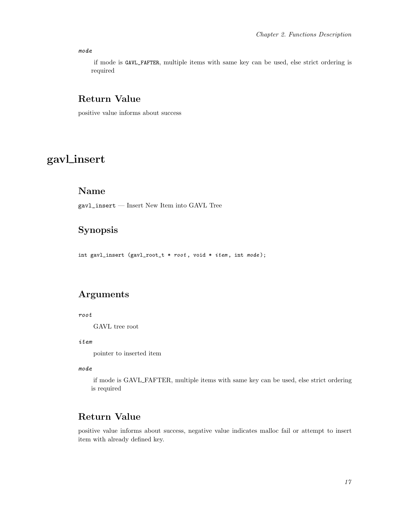#### <span id="page-20-1"></span>mode

if mode is GAVL\_FAFTER, multiple items with same key can be used, else strict ordering is required

#### Return Value

positive value informs about success

# <span id="page-20-0"></span>gavl insert

#### Name

gavl\_insert — Insert New Item into GAVL Tree

## Synopsis

int gavl\_insert (gavl\_root\_t \* root, void \* *item*, int mode);

### Arguments

#### root

GAVL tree root

#### item

pointer to inserted item

#### mode

if mode is GAVL FAFTER, multiple items with same key can be used, else strict ordering is required

## Return Value

positive value informs about success, negative value indicates malloc fail or attempt to insert item with already defined key.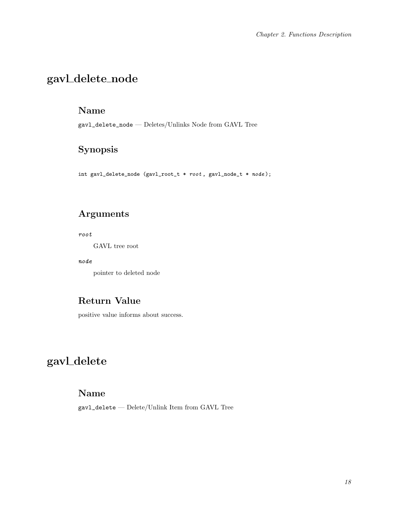# gavl delete node

#### Name

gavl\_delete\_node — Deletes/Unlinks Node from GAVL Tree

## Synopsis

int gavl\_delete\_node (gavl\_root\_t \* root , gavl\_node\_t \* node );

## Arguments

root

GAVL tree root

#### node

pointer to deleted node

### Return Value

positive value informs about success.

# <span id="page-21-0"></span>gavl delete

#### Name

gavl\_delete — Delete/Unlink Item from GAVL Tree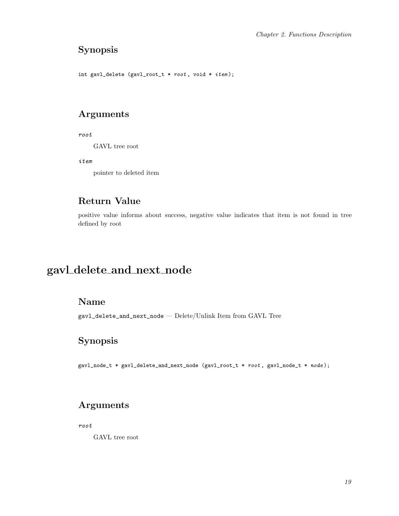## Synopsis

```
int gavl_delete (gavl_root_t * root, void * item);
```
## Arguments

root

GAVL tree root

item

pointer to deleted item

## Return Value

positive value informs about success, negative value indicates that item is not found in tree defined by root

# <span id="page-22-0"></span>gavl delete and next node

## Name

gavl\_delete\_and\_next\_node — Delete/Unlink Item from GAVL Tree

## Synopsis

gavl\_node\_t \* gavl\_delete\_and\_next\_node (gavl\_root\_t \* root , gavl\_node\_t \* node );

## Arguments

root

GAVL tree root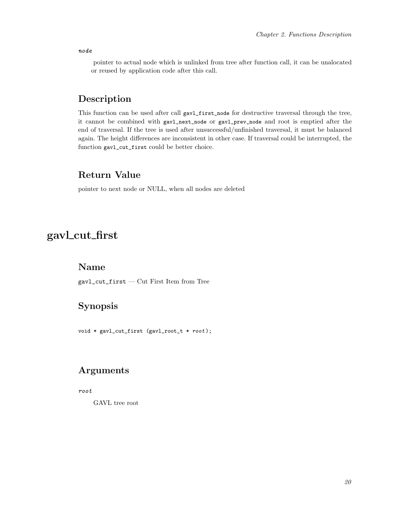node

pointer to actual node which is unlinked from tree after function call, it can be unalocated or reused by application code after this call.

### Description

This function can be used after call gavl\_first\_node for destructive traversal through the tree, it cannot be combined with gavl\_next\_node or gavl\_prev\_node and root is emptied after the end of traversal. If the tree is used after unsuccessful/unfinished traversal, it must be balanced again. The height differences are inconsistent in other case. If traversal could be interrupted, the function gavl\_cut\_first could be better choice.

### Return Value

pointer to next node or NULL, when all nodes are deleted

## <span id="page-23-0"></span>gavl cut first

#### Name

gavl\_cut\_first — Cut First Item from Tree

### Synopsis

void \* gavl\_cut\_first (gavl\_root\_t \* root );

### Arguments

root

GAVL tree root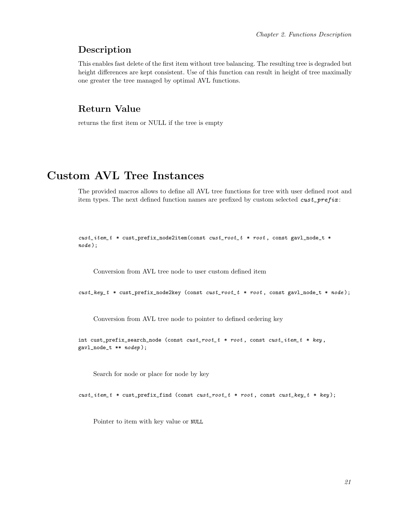#### Description

This enables fast delete of the first item without tree balancing. The resulting tree is degraded but height differences are kept consistent. Use of this function can result in height of tree maximally one greater the tree managed by optimal AVL functions.

#### Return Value

returns the first item or NULL if the tree is empty

## <span id="page-24-0"></span>Custom AVL Tree Instances

The provided macros allows to define all AVL tree functions for tree with user defined root and item types. The next defined function names are prefixed by custom selected  $\textit{cust\_prefix}:$ 

```
cust_item_t * cust_prefix_node2item(const cust_root_t * root , const gavl_node_t *
node );
```
Conversion from AVL tree node to user custom defined item

 $cust\_key_t$  \*  $cust\_prefix\_node2key$  (const  $cust\_root_t$  \*  $root$ , const gavl\_node\_t \* node);

Conversion from AVL tree node to pointer to defined ordering key

```
int cust_prefix_search_node (const cust\_root_t * root, const cust\_item_t * key,
gavl_node_t ** nodep );
```
Search for node or place for node by key

 $\textit{cust\_item}\xspace_t$  \* cust\_prefix\_find (const  $\textit{cust\_root}\xspace_t$  \* root, const  $\textit{cust\_key}\xspace_t$  \* key);

Pointer to item with key value or NULL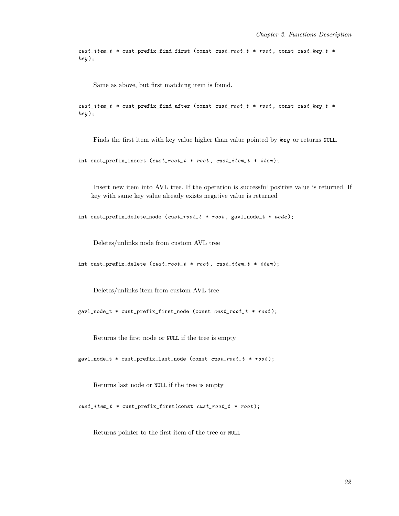```
cust\_item_t * cust\_prefix\_find\_first (const cast\_root_t * root, const cust\_key_t *key);
```
Same as above, but first matching item is found.

 $cust\_item_t * cust\_prefix\_find\_after$  (const  $cust\_root_t * root$ , const  $cust\_key_t *$ key );

Finds the first item with key value higher than value pointed by key or returns NULL.

int cust\_prefix\_insert  $(cust\_root_t * root, cust\_item_t * item);$ 

Insert new item into AVL tree. If the operation is successful positive value is returned. If key with same key value already exists negative value is returned

int cust\_prefix\_delete\_node (cust\_root\_t \* root, gavl\_node\_t \* node);

Deletes/unlinks node from custom AVL tree

int cust\_prefix\_delete  $(cust\_root\_t * root, cost\_item\_t * item);$ 

Deletes/unlinks item from custom AVL tree

gavl\_node\_t \* cust\_prefix\_first\_node (const cust\_root\_t \* root );

Returns the first node or NULL if the tree is empty

gavl\_node\_t \* cust\_prefix\_last\_node (const cust\_root\_t \* root );

Returns last node or NULL if the tree is empty

 $\textit{cust}\_\textit{item}\_\textit{t} * \textit{cust}\_\textit{prefix}\_\textit{first}(\textit{const}\_\textit{cost}\_\textit{t} * \textit{root});$ 

Returns pointer to the first item of the tree or NULL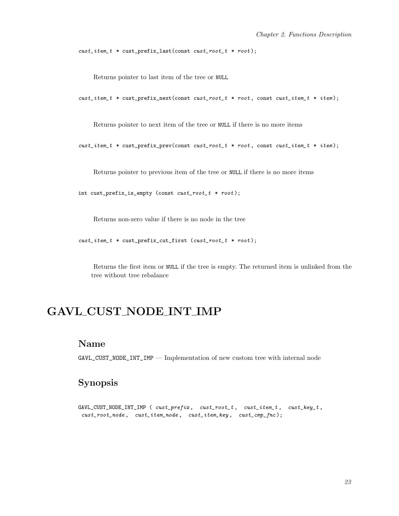```
\textit{cust}\_\textit{item}\_\textit{t} * \textit{cust}\_\textit{prefix}\_\textit{last}(\textit{const}\_\textit{cost}\_\textit{t} * \textit{root});
```
Returns pointer to last item of the tree or NULL

```
\textit{cust}\_\textit{item}\_\textit{t} * \textit{cust}\_\textit{prefix}\_\textit{next}(\textit{const}\_\textit{cut}\_\textit{r} * \textit{root}\xspace, \textit{const}\_\textit{cost}\_\textit{item}\_\textit{t} * \textit{item}\xspace);
```
Returns pointer to next item of the tree or NULL if there is no more items

cust\_item\_t \* cust\_prefix\_prev(const cust\_root\_t \* root , const cust\_item\_t \* item );

Returns pointer to previous item of the tree or NULL if there is no more items

int cust\_prefix\_is\_empty (const cust\_root\_t \* root );

Returns non-zero value if there is no node in the tree

cust\_item\_t \* cust\_prefix\_cut\_first (cust\_root\_t \* root );

Returns the first item or NULL if the tree is empty. The returned item is unlinked from the tree without tree rebalance

## <span id="page-26-0"></span>GAVL CUST NODE INT IMP

#### Name

 $\texttt{GAVL\_CUST\_NODE\_INT\_IMP}$  — Implementation of new custom tree with internal node

### Synopsis

 $GAVL_CUST_NODE\_INT\_IMP$  (  $cust\_prefix$  ,  $cust\_root\_t$  ,  $cust\_item\_t$  ,  $cust\_key\_t$  ,  $\textit{cust\_root\_node}\,,\quad \textit{cust\_item\_node}\,,\quad \textit{cust\_item\_key}\,,\quad \textit{cust\_cmp\_frac}\,,$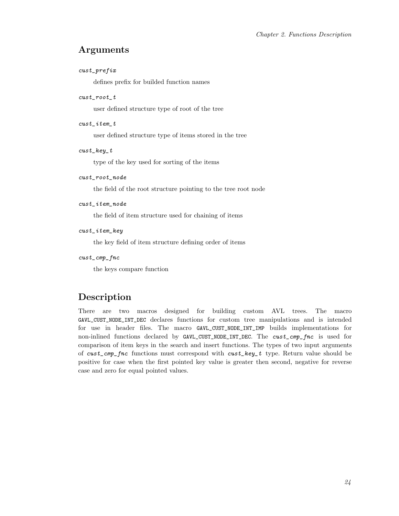#### Arguments

#### cust\_prefix

defines prefix for builded function names

#### cust\_root\_t

user defined structure type of root of the tree

#### cust\_item\_t

user defined structure type of items stored in the tree

#### $\cosh\, \sech t$

type of the key used for sorting of the items

#### cust\_root\_node

the field of the root structure pointing to the tree root node

#### $\texttt{cust}\xspace$  item\_node

the field of item structure used for chaining of items

#### cust\_item\_key

the key field of item structure defining order of items

#### cust\_cmp\_fnc

the keys compare function

### Description

There are two macros designed for building custom AVL trees. The macro GAVL\_CUST\_NODE\_INT\_DEC declares functions for custom tree manipulations and is intended for use in header files. The macro GAVL\_CUST\_NODE\_INT\_IMP builds implementations for non-inlined functions declared by GAVL\_CUST\_NODE\_INT\_DEC. The cust\_cmp\_fnc is used for comparison of item keys in the search and insert functions. The types of two input arguments of cust\_cmp\_fnc functions must correspond with cust\_key\_t type. Return value should be positive for case when the first pointed key value is greater then second, negative for reverse case and zero for equal pointed values.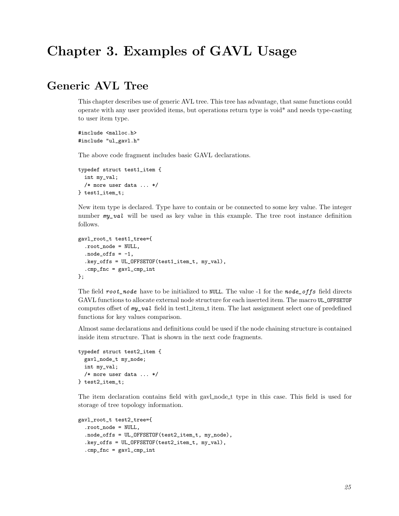# <span id="page-28-1"></span><span id="page-28-0"></span>Chapter 3. Examples of GAVL Usage

## Generic AVL Tree

This chapter describes use of generic AVL tree. This tree has advantage, that same functions could operate with any user provided items, but operations return type is void\* and needs type-casting to user item type.

#include <malloc.h> #include "ul\_gavl.h"

The above code fragment includes basic GAVL declarations.

```
typedef struct test1_item {
 int my_val;
 /* more user data ... */
} test1_item_t;
```
New item type is declared. Type have to contain or be connected to some key value. The integer number  $my_val$  will be used as key value in this example. The tree root instance definition follows.

```
gavl_root_t test1_tree={
  .root_node = NULL,
  node_offs = -1,.key_offs = UL_OFFSETOF(test1_item_t, my_val),
  .cmp\_fnc = gav1_cmp\_int};
```
The field root\_node have to be initialized to NULL. The value -1 for the node\_offs field directs GAVL functions to allocate external node structure for each inserted item. The macro UL\_OFFSETOF computes offset of  $my\_val$  field in test1 item titem. The last assignment select one of predefined functions for key values comparison.

Almost same declarations and definitions could be used if the node chaining structure is contained inside item structure. That is shown in the next code fragments.

```
typedef struct test2_item {
 gavl_node_t my_node;
 int my_val;
 /* more user data ... */
} test2_item_t;
```
The item declaration contains field with gavl\_node\_t type in this case. This field is used for storage of tree topology information.

```
gavl_root_t test2_tree={
 .root_node = NULL,
  .node_offs = UL_OFFSETOF(test2_item_t, my_node),
  .key_offs = UL_OFFSETOF(test2_item_t, my_val),
  .cmp\_frac = gavl_cmp\_int
```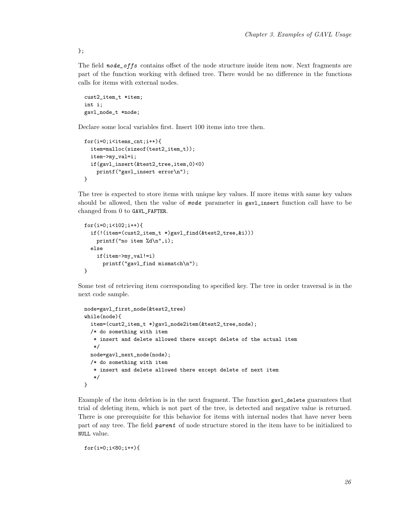The field node\_offs contains offset of the node structure inside item now. Next fragments are part of the function working with defined tree. There would be no difference in the functions calls for items with external nodes.

```
cust2_item_t *item;
int i;
gavl_node_t *node;
```
Declare some local variables first. Insert 100 items into tree then.

```
for(i=0;i<items_cnt;i++){
  item=malloc(sizeof(test2_item_t));
  item->my_val=i;
  if(gavl_insert(&test2_tree,item,0)<0)
    printf("gavl_insert error\n");
}
```
The tree is expected to store items with unique key values. If more items with same key values should be allowed, then the value of mode parameter in gavl\_insert function call have to be changed from 0 to GAVL\_FAFTER.

```
for(i=0;i<102;i++){
  if(!(item=(cust2_item_t *)gavl_find(&test2_tree,&i)))
    printf("no item %d\n",i);
  else
    if(item->my_val!=i)
      printf("gavl_find mismatch\n");
}
```
Some test of retrieving item corresponding to specified key. The tree in order traversal is in the next code sample.

```
node=gavl_first_node(&test2_tree)
while(node){
  item=(cust2_item_t *)gavl_node2item(&test2_tree,node);
  /* do something with item
   * insert and delete allowed there except delete of the actual item
   */
  node=gavl_next_node(node);
  /* do something with item
   * insert and delete allowed there except delete of next item
   */
}
```
Example of the item deletion is in the next fragment. The function gavl\_delete guarantees that trial of deleting item, which is not part of the tree, is detected and negative value is returned. There is one prerequisite for this behavior for items with internal nodes that have never been part of any tree. The field parent of node structure stored in the item have to be initialized to NULL value.

```
for(i=0;i<80;i++){
```
};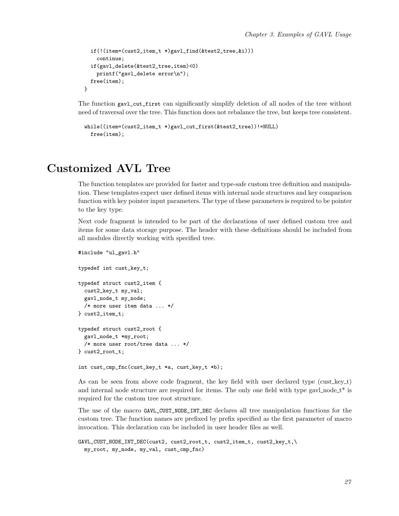```
if(!(item=(cust2_item_t *)gavl_find(&test2_tree,&i)))
  continue;
if(gavl_delete(&test2_tree,item)<0)
 printf("gavl_delete error\n");
free(item);
```
The function gavl\_cut\_first can significantly simplify deletion of all nodes of the tree without need of traversal over the tree. This function does not rebalance the tree, but keeps tree consistent.

```
while((item=(cust2_item_t *)gavl_cut_first(&test2_tree))!=NULL)
  free(item);
```
## <span id="page-30-0"></span>Customized AVL Tree

}

The function templates are provided for faster and type-safe custom tree definition and manipulation. These templates expect user defined items with internal node structures and key comparison function with key pointer input parameters. The type of these parameters is required to be pointer to the key type.

Next code fragment is intended to be part of the declarations of user defined custom tree and items for some data storage purpose. The header with these definitions should be included from all modules directly working with specified tree.

```
#include "ul_gavl.h"
typedef int cust_key_t;
typedef struct cust2_item {
 cust2_key_t my_val;
 gavl_node_t my_node;
 /* more user item data ... */
} cust2_item_t;
typedef struct cust2_root {
 gavl_node_t *my_root;
 /* more user root/tree data ... */
} cust2_root_t;
```
int cust\_cmp\_fnc(cust\_key\_t \*a, cust\_key\_t \*b);

As can be seen from above code fragment, the key field with user declared type (cust key  $t$ ) and internal node structure are required for items. The only one field with type gavl\_node\_ $t^*$  is required for the custom tree root structure.

The use of the macro GAVL\_CUST\_NODE\_INT\_DEC declares all tree manipulation functions for the custom tree. The function names are prefixed by prefix specified as the first parameter of macro invocation. This declaration can be included in user header files as well.

```
GAVL_CUST_NODE_INT_DEC(cust2, cust2_root_t, cust2_item_t, cust2_key_t,\
 my_root, my_node, my_val, cust_cmp_fnc)
```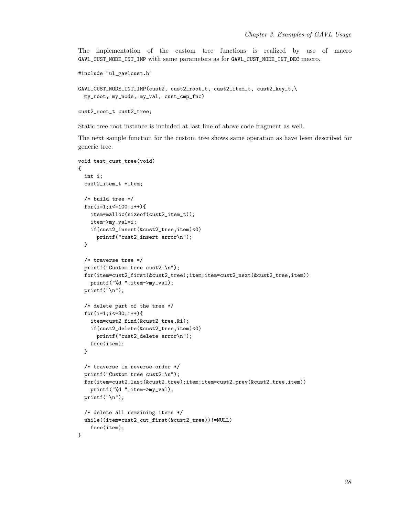The implementation of the custom tree functions is realized by use of macro GAVL\_CUST\_NODE\_INT\_IMP with same parameters as for GAVL\_CUST\_NODE\_INT\_DEC macro.

```
#include "ul_gavlcust.h"
GAVL_CUST_NODE_INT_IMP(cust2, cust2_root_t, cust2_item_t, cust2_key_t,\
 my_root, my_node, my_val, cust_cmp_fnc)
cust2_root_t cust2_tree;
```
Static tree root instance is included at last line of above code fragment as well.

The next sample function for the custom tree shows same operation as have been described for generic tree.

```
void test_cust_tree(void)
{
  int i;
  cust2_item_t *item;
  /* build tree */
  for(i=1; i<=100; i++){
    item=malloc(sizeof(cust2_item_t));
    item->my_val=i;
    if(cust2_insert(&cust2_tree,item)<0)
      printf("cust2_insert error\n");
  }
  /* traverse tree */
  printf("Custom tree cust2:\n");
  for(item=cust2_first(&cust2_tree);item;item=cust2_next(&cust2_tree,item))
    printf("%d ",item->my_val);
  print(f("n");
  /* delete part of the tree */
  for(i=1; i<=80; i++){
    item=cust2_find(&cust2_tree,&i);
    if(cust2_delete(&cust2_tree,item)<0)
      printf("cust2_delete error\n");
    free(item);
  }
  /* traverse in reverse order */
  printf("Custom tree cust2:\n");
  for(item=cust2_last(&cust2_tree);item;item=cust2_prev(&cust2_tree,item))
    printf("%d ",item->my_val);
  printf("\n");
  /* delete all remaining items */
  while((item=cust2_cut_first(&cust2_tree))!=NULL)
    free(item);
}
```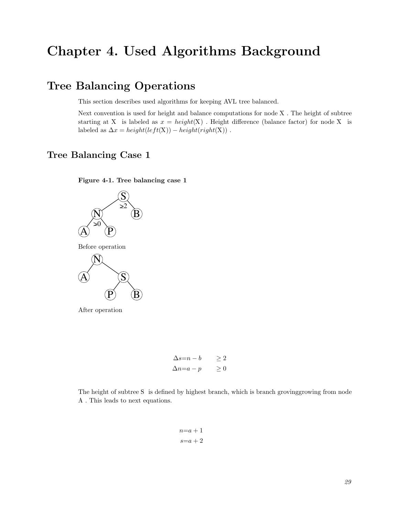# <span id="page-32-1"></span><span id="page-32-0"></span>Chapter 4. Used Algorithms Background

## Tree Balancing Operations

This section describes used algorithms for keeping AVL tree balanced.

Next convention is used for height and balance computations for node X . The height of subtree starting at X is labeled as  $x = height(X)$ . Height difference (balance factor) for node X is labeled as  $\Delta x = height(left(X)) - height(right(X))$ .

### <span id="page-32-3"></span><span id="page-32-2"></span>Tree Balancing Case 1



Figure 4-1. Tree balancing case 1

$$
\Delta s=n-b \geq 2
$$
  

$$
\Delta n=a-p \geq 0
$$

<span id="page-32-4"></span>The height of subtree S is defined by highest branch, which is branch grovinggrowing from node A . This leads to next equations.

<span id="page-32-5"></span>
$$
n=a+1
$$
  

$$
s=a+2
$$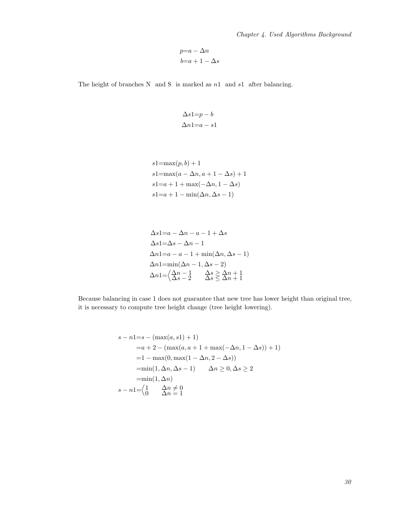$$
p=a-\Delta n
$$
  

$$
b=a+1-\Delta s
$$

<span id="page-33-2"></span>The height of branches N  $\,$  and S  $\,$  is marked as  $n1\,$  and  $s1\,$  after balancing.

<span id="page-33-1"></span>
$$
\Delta s1=p-b
$$
  

$$
\Delta n1=a-s1
$$

$$
s1 = \max(p, b) + 1
$$
  
\n
$$
s1 = \max(a - \Delta n, a + 1 - \Delta s) + 1
$$
  
\n
$$
s1 = a + 1 + \max(-\Delta n, 1 - \Delta s)
$$
  
\n
$$
s1 = a + 1 - \min(\Delta n, \Delta s - 1)
$$

<span id="page-33-4"></span>
$$
\Delta s1=a - \Delta n - a - 1 + \Delta s
$$
  
\n
$$
\Delta s1 = \Delta s - \Delta n - 1
$$
  
\n
$$
\Delta n1 = a - a - 1 + \min(\Delta n, \Delta s - 1)
$$
  
\n
$$
\Delta n1 = \min(\Delta n - 1, \Delta s - 2)
$$
  
\n
$$
\Delta n1 = \begin{cases} \Delta n - 1 & \Delta s \ge \Delta n + 1 \\ \Delta s - 2 & \Delta s \le \Delta n + 1 \end{cases}
$$

<span id="page-33-3"></span>Because balancing in case 1 does not guarantee that new tree has lower height than original tree, it is necessary to compute tree height change (tree height lowering).

<span id="page-33-0"></span>
$$
s - n1 = s - (max(a, s1) + 1)
$$
  
= a + 2 - (max(a, a + 1 + max(- $\Delta n, 1 - \Delta s$ )) + 1)  
= 1 - max(0, max(1 -  $\Delta n, 2 - \Delta s$ ))  
= min(1,  $\Delta n, \Delta s - 1$ )  $\Delta n \ge 0, \Delta s \ge 2$   
= min(1,  $\Delta n$ )  

$$
s - n1 = \begin{cases} 1 & \Delta n \ne 0 \\ 0 & \Delta n = 1 \end{cases}
$$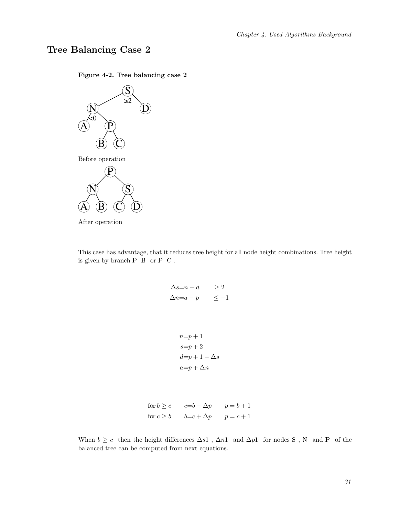## <span id="page-34-0"></span>Tree Balancing Case 2





After operation

<span id="page-34-2"></span>This case has advantage, that it reduces tree height for all node height combinations. Tree height is given by branch  ${\bf P} \ \ {\bf B} \ \ {\rm or} \ {\bf P} \ \ {\bf C}$  .

<span id="page-34-1"></span>
$$
\Delta s=n-d \geq 2
$$
  

$$
\Delta n=a-p \leq -1
$$

$$
n=p+1
$$
  
\n
$$
s=p+2
$$
  
\n
$$
d=p+1-\Delta s
$$
  
\n
$$
a=p+\Delta n
$$

```
for b \ge c c=b-\Delta p p=b+1for c \geq b b=c+\Delta p p = c+1
```
<span id="page-34-3"></span>When  $b \geq c$  then the height differences  $\Delta s1$ ,  $\Delta n1$  and  $\Delta p1$  for nodes S, N and P of the balanced tree can be computed from next equations.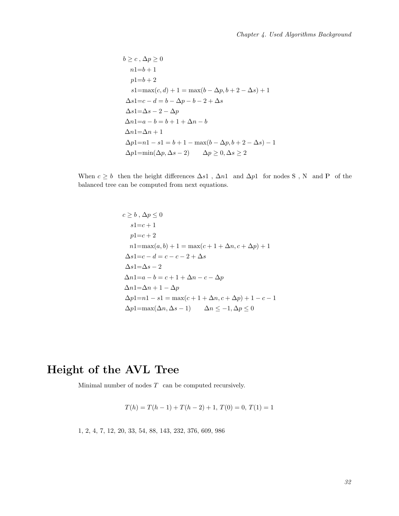$$
b \ge c, \Delta p \ge 0
$$
  
\n
$$
n1=b+1
$$
  
\n
$$
p1=b+2
$$
  
\n
$$
s1=\max(c,d)+1=\max(b-\Delta p, b+2-\Delta s)+1
$$
  
\n
$$
\Delta s1=c-d=b-\Delta p-b-2+\Delta s
$$
  
\n
$$
\Delta s1=\Delta s-2-\Delta p
$$
  
\n
$$
\Delta n1=a-b=b+1+\Delta n-b
$$
  
\n
$$
\Delta n1=\Delta n+1
$$
  
\n
$$
\Delta p1=n1-s1=b+1-\max(b-\Delta p, b+2-\Delta s)-1
$$
  
\n
$$
\Delta p1=\min(\Delta p, \Delta s-2) \qquad \Delta p \ge 0, \Delta s \ge 2
$$

When  $c \geq b$  then the height differences  $\Delta s1$ ,  $\Delta n1$  and  $\Delta p1$  for nodes S, N and P of the balanced tree can be computed from next equations.

<span id="page-35-1"></span>
$$
c \ge b, \Delta p \le 0
$$
  
\n
$$
s1=c+1
$$
  
\n
$$
p1=c+2
$$
  
\n
$$
n1=\max(a,b)+1=\max(c+1+\Delta n, c+\Delta p)+1
$$
  
\n
$$
\Delta s1=c-d=c-c-2+\Delta s
$$
  
\n
$$
\Delta s1=\Delta s-2
$$
  
\n
$$
\Delta n1=a-b=c+1+\Delta n-c-\Delta p
$$
  
\n
$$
\Delta n1=\Delta n+1-\Delta p
$$
  
\n
$$
\Delta p1=n1-s1=\max(c+1+\Delta n, c+\Delta p)+1-c-1
$$
  
\n
$$
\Delta p1=\max(\Delta n, \Delta s-1) \qquad \Delta n \le -1, \Delta p \le 0
$$

# <span id="page-35-0"></span>Height of the AVL Tree

Minimal number of nodes  $\cal T~$  can be computed recursively.

<span id="page-35-2"></span>
$$
T(h) = T(h-1) + T(h-2) + 1, T(0) = 0, T(1) = 1
$$

<span id="page-35-3"></span>1, 2, 4, 7, 12, 20, 33, 54, 88, 143, 232, 376, 609, 986